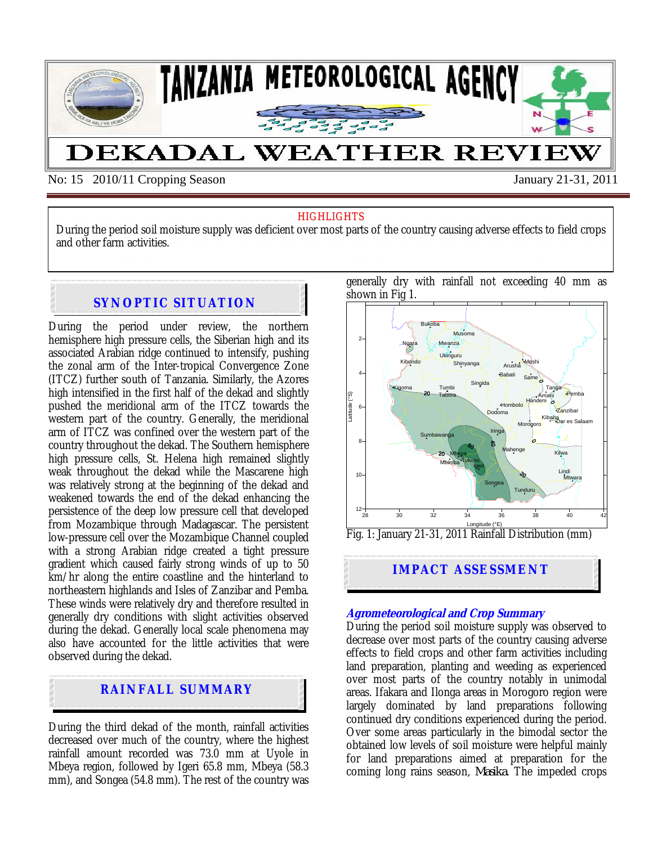

No: 15 2010/11 Cropping Season January 21-31, 2011

#### **HIGHLIGHTS**

During the period soil moisture supply was deficient over most parts of the country causing adverse effects to field crops and other farm activities.

## **SYNOPTIC SITUATION**

During the period under review, the northern hemisphere high pressure cells, the Siberian high and its associated Arabian ridge continued to intensify, pushing the zonal arm of the Inter-tropical Convergence Zone (ITCZ) further south of Tanzania. Similarly, the Azores high intensified in the first half of the dekad and slightly pushed the meridional arm of the ITCZ towards the western part of the country. Generally, the meridional arm of ITCZ was confined over the western part of the country throughout the dekad. The Southern hemisphere high pressure cells, St. Helena high remained slightly weak throughout the dekad while the Mascarene high was relatively strong at the beginning of the dekad and weakened towards the end of the dekad enhancing the persistence of the deep low pressure cell that developed from Mozambique through Madagascar. The persistent low-pressure cell over the Mozambique Channel coupled with a strong Arabian ridge created a tight pressure gradient which caused fairly strong winds of up to 50 km/hr along the entire coastline and the hinterland to northeastern highlands and Isles of Zanzibar and Pemba. These winds were relatively dry and therefore resulted in generally dry conditions with slight activities observed during the dekad. Generally local scale phenomena may also have accounted for the little activities that were observed during the dekad.

# **RAINFALL SUMMARY**

During the third dekad of the month, rainfall activities decreased over much of the country, where the highest rainfall amount recorded was 73.0 mm at Uyole in Mbeya region, followed by Igeri 65.8 mm, Mbeya (58.3 mm), and Songea (54.8 mm). The rest of the country was generally dry with rainfall not exceeding 40 mm as shown in Fig 1.



**IMPACT ASSESSMENT**

#### **Agrometeorological and Crop Summary**

During the period soil moisture supply was observed to decrease over most parts of the country causing adverse effects to field crops and other farm activities including land preparation, planting and weeding as experienced over most parts of the country notably in unimodal areas. Ifakara and Ilonga areas in Morogoro region were largely dominated by land preparations following continued dry conditions experienced during the period. Over some areas particularly in the bimodal sector the obtained low levels of soil moisture were helpful mainly for land preparations aimed at preparation for the coming long rains season, *Masika*. The impeded crops